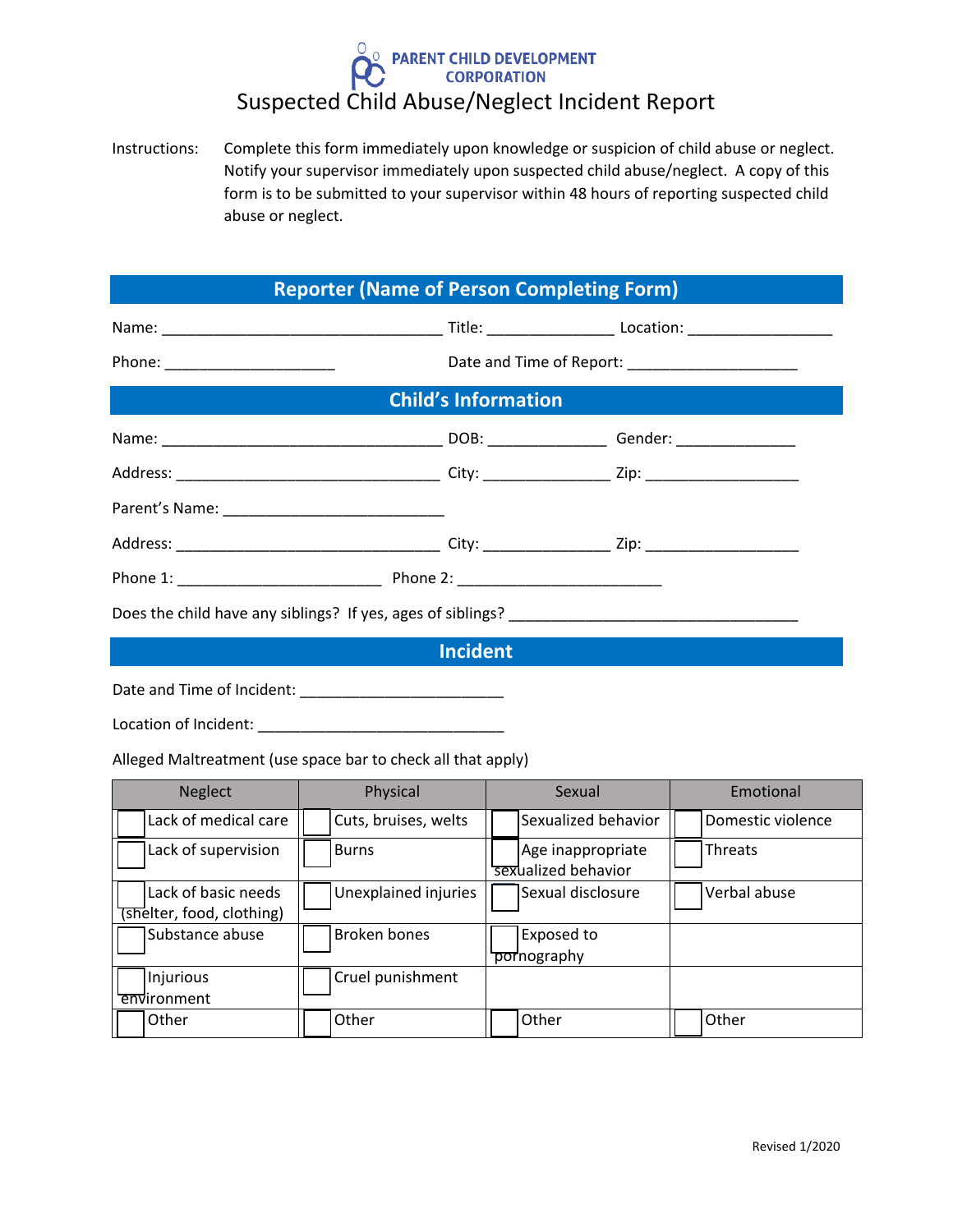## PARENT CHILD DEVELOPMENT Suspected Child Abuse/Neglect Incident Report

Instructions: Complete this form immediately upon knowledge or suspicion of child abuse or neglect. Notify your supervisor immediately upon suspected child abuse/neglect. A copy of this form is to be submitted to your supervisor within 48 hours of reporting suspected child abuse or neglect.

| <b>Reporter (Name of Person Completing Form)</b> |  |  |  |  |
|--------------------------------------------------|--|--|--|--|
|                                                  |  |  |  |  |
|                                                  |  |  |  |  |
| <b>Child's Information</b>                       |  |  |  |  |
|                                                  |  |  |  |  |
|                                                  |  |  |  |  |
|                                                  |  |  |  |  |
|                                                  |  |  |  |  |
|                                                  |  |  |  |  |
|                                                  |  |  |  |  |
| <b>Incident</b>                                  |  |  |  |  |

Date and Time of Incident: \_\_\_\_\_\_\_\_\_\_\_\_\_\_\_\_\_\_\_\_\_\_\_\_

Location of Incident: \_\_\_\_\_\_\_\_\_\_\_\_\_\_\_\_\_\_\_\_\_\_\_\_\_\_\_\_\_

Alleged Maltreatment (use space bar to check all that apply)

| <b>Neglect</b>                                   | Physical             | Sexual                                   | Emotional         |
|--------------------------------------------------|----------------------|------------------------------------------|-------------------|
| Lack of medical care                             | Cuts, bruises, welts | Sexualized behavior                      | Domestic violence |
| Lack of supervision                              | <b>Burns</b>         | Age inappropriate<br>sexualized behavior | Threats           |
| Lack of basic needs<br>(shelter, food, clothing) | Unexplained injuries | Sexual disclosure                        | Verbal abuse      |
| Substance abuse                                  | <b>Broken bones</b>  | Exposed to<br>pornography                |                   |
| Injurious<br>environment                         | Cruel punishment     |                                          |                   |
| Other                                            | Other                | Other                                    | Other             |